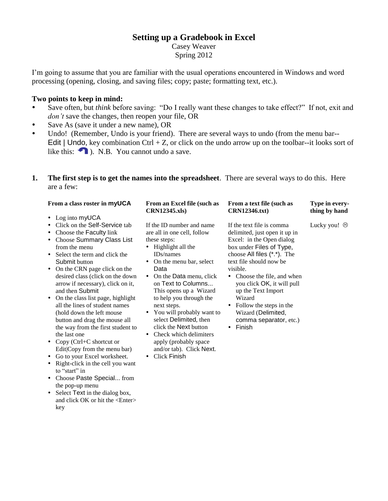### **Setting up a Gradebook in Excel**

Casey Weaver Spring 2012

I"m going to assume that you are familiar with the usual operations encountered in Windows and word processing (opening, closing, and saving files; copy; paste; formatting text, etc.).

#### **Two points to keep in mind:**

- Save often, but *think* before saving: "Do I really want these changes to take effect?" If not, exit and *don't* save the changes, then reopen your file, OR
- Save As (save it under a new name), OR
- Undo! (Remember, Undo is your friend). There are several ways to undo (from the menu bar-- Edit | Undo, key combination Ctrl + Z, or click on the undo arrow up on the toolbar--it looks sort of like this:  $\blacksquare$ ). N.B. You cannot undo a save.
- **1. The first step is to get the names into the spreadsheet**. There are several ways to do this. Here are a few:

| From an Excel file (such as<br><b>CRN12345.xls</b>                                                                                                                                                                                                                                                                                                                                                                                                                                                                      | From a text file (such as<br><b>CRN12346.txt</b> )                                                                                                                                                                                                                                                                                                                            | Type in every-<br>thing by hand |
|-------------------------------------------------------------------------------------------------------------------------------------------------------------------------------------------------------------------------------------------------------------------------------------------------------------------------------------------------------------------------------------------------------------------------------------------------------------------------------------------------------------------------|-------------------------------------------------------------------------------------------------------------------------------------------------------------------------------------------------------------------------------------------------------------------------------------------------------------------------------------------------------------------------------|---------------------------------|
| If the ID number and name<br>are all in one cell, follow<br>these steps:<br>Highlight all the<br>$\bullet$<br>IDs/names<br>On the menu bar, select<br>$\bullet$<br>Data<br>On the Data menu, click<br>$\bullet$<br>on Text to Columns<br>This opens up a Wizard<br>to help you through the<br>next steps.<br>You will probably want to<br>٠<br>select Delimited, then<br>click the Next button<br>Check which delimiters<br>$\bullet$<br>apply (probably space<br>and/or tab). Click Next.<br>Click Finish<br>$\bullet$ | If the text file is comma<br>delimited, just open it up in<br>Excel: in the Open dialog<br>box under Files of Type,<br>choose All files (*.*). The<br>text file should now be<br>visible.<br>• Choose the file, and when<br>you click OK, it will pull<br>up the Text Import<br>Wizard<br>• Follow the steps in the<br>Wizard (Delimited,<br>comma separator, etc.)<br>Finish | Lucky you! $\otimes$            |
|                                                                                                                                                                                                                                                                                                                                                                                                                                                                                                                         |                                                                                                                                                                                                                                                                                                                                                                               |                                 |

- Choose Paste Special... from the pop-up menu • Select Text in the dialog box,
- and click OK or hit the <Enter> key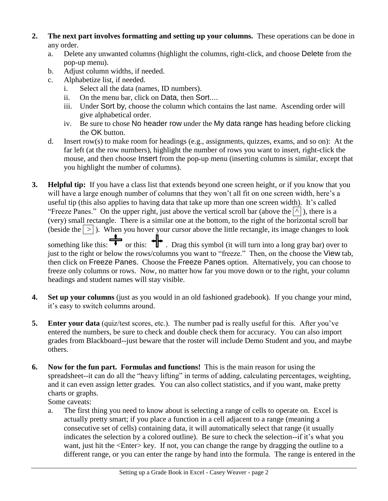- **2. The next part involves formatting and setting up your columns.** These operations can be done in any order.
	- a. Delete any unwanted columns (highlight the columns, right-click, and choose Delete from the pop-up menu).
	- b. Adjust column widths, if needed.
	- c. Alphabetize list, if needed.
		- i. Select all the data (names, ID numbers).
		- ii. On the menu bar, click on Data, then Sort....
		- iii. Under Sort by, choose the column which contains the last name. Ascending order will give alphabetical order.
		- iv. Be sure to chose No header row under the My data range has heading before clicking the OK button.
	- d. Insert row(s) to make room for headings (e.g., assignments, quizzes, exams, and so on): At the far left (at the row numbers), highlight the number of rows you want to insert, right-click the mouse, and then choose Insert from the pop-up menu (inserting columns is similar, except that you highlight the number of columns).
- **3. Helpful tip:** If you have a class list that extends beyond one screen height, or if you know that you will have a large enough number of columns that they won't all fit on one screen width, here's a useful tip (this also applies to having data that take up more than one screen width). It"s called "Freeze Panes." On the upper right, just above the vertical scroll bar (above the  $|\wedge|$ ), there is a (very) small rectangle. There is a similar one at the bottom, to the right of the horizontal scroll bar (beside the  $|>|$ ). When you hover your cursor above the little rectangle, its image changes to look something like this:  $\overrightarrow{ }$  or this:  $\overrightarrow{ }$  . Drag this symbol (it will turn into a long gray bar) over to just to the right or below the rows/columns you want to "freeze." Then, on the choose the View tab, then click on Freeze Panes. Choose the Freeze Panes option. Alternatively, you can choose to freeze only columns or rows. Now, no matter how far you move down or to the right, your column headings and student names will stay visible.
- **4. Set up your columns** (just as you would in an old fashioned gradebook). If you change your mind, it"s easy to switch columns around.
- **5. Enter your data** (quiz/test scores, etc.). The number pad is really useful for this. After you've entered the numbers, be sure to check and double check them for accuracy. You can also import grades from Blackboard--just beware that the roster will include Demo Student and you, and maybe others.
- **6. Now for the fun part. Formulas and functions!** This is the main reason for using the spreadsheet--it can do all the "heavy lifting" in terms of adding, calculating percentages, weighting, and it can even assign letter grades. You can also collect statistics, and if you want, make pretty charts or graphs.
	- Some caveats:
	- a. The first thing you need to know about is selecting a range of cells to operate on. Excel is actually pretty smart; if you place a function in a cell adjacent to a range (meaning a consecutive set of cells) containing data, it will automatically select that range (it usually indicates the selection by a colored outline). Be sure to check the selection--if it's what you want, just hit the <Enter> key. If not, you can change the range by dragging the outline to a different range, or you can enter the range by hand into the formula. The range is entered in the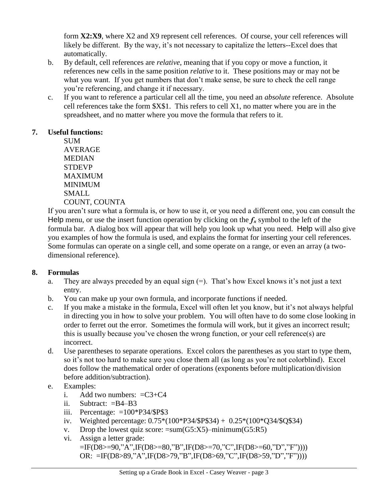form **X2:X9**, where X2 and X9 represent cell references. Of course, your cell references will likely be different. By the way, it's not necessary to capitalize the letters--Excel does that automatically.

- b. By default, cell references are *relative,* meaning that if you copy or move a function, it references new cells in the same position *relative* to it. These positions may or may not be what you want. If you get numbers that don't make sense, be sure to check the cell range you"re referencing, and change it if necessary.
- c. If you want to reference a particular cell all the time, you need an *absolute* reference.Absolute cell references take the form \$X\$1. This refers to cell X1, no matter where you are in the spreadsheet, and no matter where you move the formula that refers to it.

#### **7. Useful functions:**

**SUM** AVERAGE MEDIAN **STDEVP MAXIMUM** MINIMUM SMALL COUNT, COUNTA

If you aren't sure what a formula is, or how to use it, or you need a different one, you can consult the Help menu, or use the insert function operation by clicking on the  $f_x$  symbol to the left of the formula bar. A dialog box will appear that will help you look up what you need. Help will also give you examples of how the formula is used, and explains the format for inserting your cell references. Some formulas can operate on a single cell, and some operate on a range, or even an array (a twodimensional reference).

# **8. Formulas**

- a. They are always preceded by an equal sign  $(=)$ . That's how Excel knows it's not just a text entry.
- b. You can make up your own formula, and incorporate functions if needed.
- c. If you make a mistake in the formula, Excel will often let you know, but it"s not always helpful in directing you in how to solve your problem. You will often have to do some close looking in order to ferret out the error. Sometimes the formula will work, but it gives an incorrect result; this is usually because you"ve chosen the wrong function, or your cell reference(s) are incorrect.
- d. Use parentheses to separate operations. Excel colors the parentheses as you start to type them, so it's not too hard to make sure you close them all (as long as you're not colorblind). Excel does follow the mathematical order of operations (exponents before multiplication/division before addition/subtraction).

# e. Examples:

- i. Add two numbers:  $=C3+C4$
- ii. Subtract: =B4–B3
- iii. Percentage: =100\*P34/\$P\$3
- iv. Weighted percentage: 0.75\*(100\*P34/\$P\$34) + 0.25\*(100\*Q34/\$Q\$34)
- v. Drop the lowest quiz score:  $=sum(G5:X5)$ –minimum(G5:R5)
- vi. Assign a letter grade:
	- =IF(D8>=90,"A",IF(D8>=80,"B",IF(D8>=70,"C",IF(D8>=60,"D","F")))) OR: =IF(D8>89,"A",IF(D8>79,"B",IF(D8>69,"C",IF(D8>59,"D","F"))))